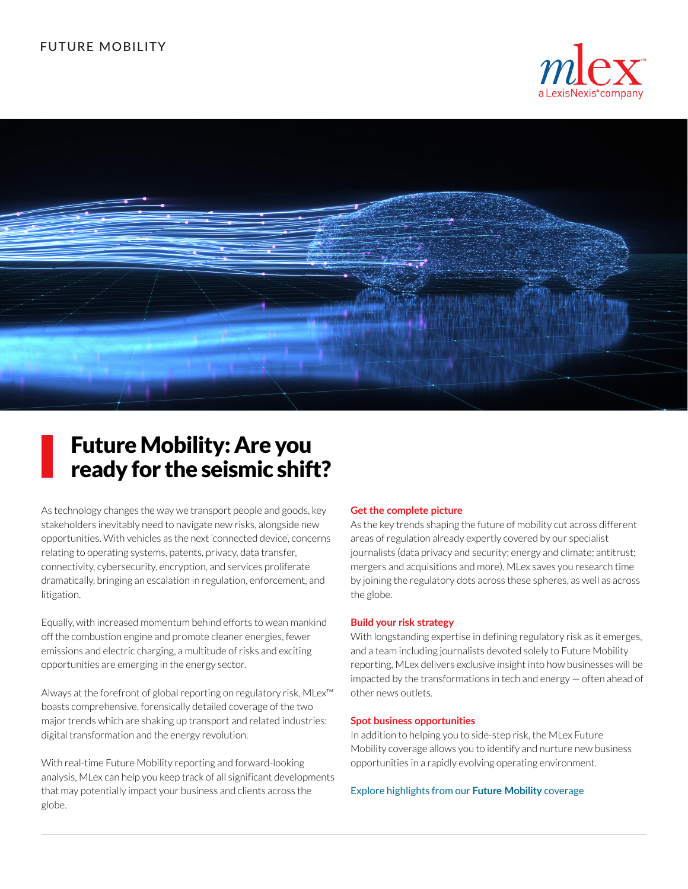



## Future Mobility: Are you ready for the seismic shift?

As technology changes the way we transport people and goods, key stakeholders inevitably need to navigate new risks, alongside new opportunities. With vehicles as the next 'connected device', concerns relating to operating systems, patents, privacy, data transfer, connectivity, cybersecurity, encryption, and services proliferate dramatically, bringing an escalation in regulation, enforcement, and litigation.

Equally, with increased momentum behind efforts to wean mankind off the combustion engine and promote cleaner energies, fewer emissions and electric charging, a multitude of risks and exciting opportunities are emerging in the energy sector.

Always at the forefront of global reporting on regulatory risk, MLex™ boasts comprehensive, forensically detailed coverage of the two major trends which are shaking up transport and related industries: digital transformation and the energy revolution.

With real-time Future Mobility reporting and forward-looking analysis, MLex can help you keep track of all significant developments that may potentially impact your business and clients across the globe.

### **Get the complete picture**

As the key trends shaping the future of mobility cut across different areas of regulation already expertly covered by our specialist journalists (data privacy and security; energy and climate; antitrust; mergers and acquisitions and more), MLex saves you research time by joining the regulatory dots across these spheres, as well as across the globe.

#### **Build your risk strategy**

With longstanding expertise in defining regulatory risk as it emerges, and a team including journalists devoted solely to Future Mobility reporting, MLex delivers exclusive insight into how businesses will be impacted by the transformations in tech and energy — often ahead of other news outlets.

#### **Spot business opportunities**

In addition to helping you to side-step risk, the MLex Future Mobility coverage allows you to identify and nurture new business opportunities in a rapidly evolving operating environment.

#### [Explore highlights from our](https://mlexmarketinsight.com/news-hub/editors-picks/futuremobility) **Future Mobility** coverage